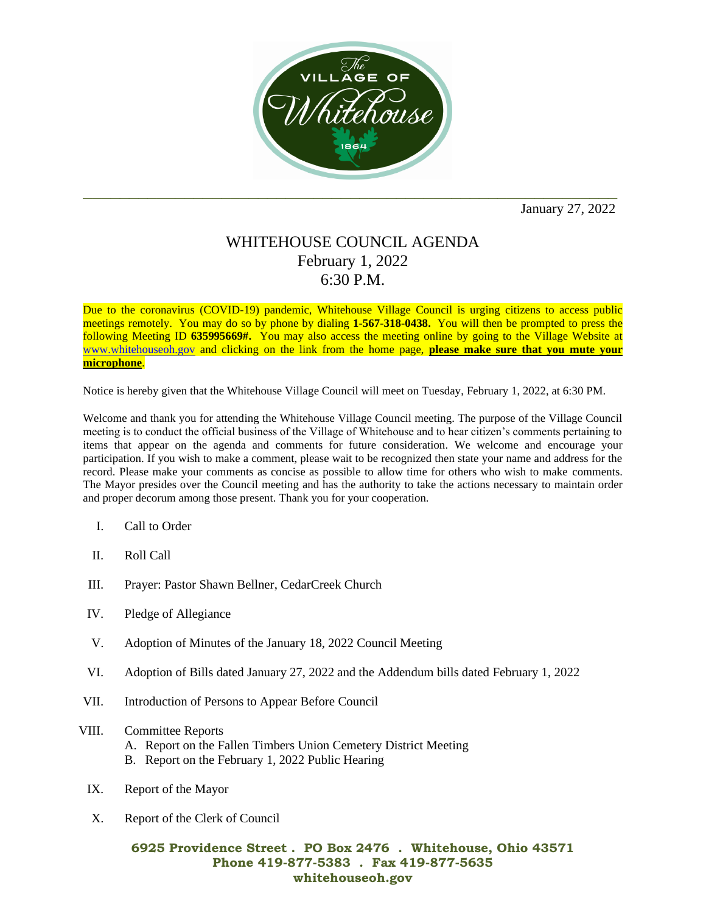

January 27, 2022

## WHITEHOUSE COUNCIL AGENDA February 1, 2022 6:30 P.M.

Due to the coronavirus (COVID-19) pandemic, Whitehouse Village Council is urging citizens to access public meetings remotely. You may do so by phone by dialing **1-567-318-0438.** You will then be prompted to press the following Meeting ID **635995669#.** You may also access the meeting online by going to the Village Website at [www.whitehouseoh.gov](http://www.whitehouseoh.gov/) and clicking on the link from the home page, **please make sure that you mute your microphone**.

Notice is hereby given that the Whitehouse Village Council will meet on Tuesday, February 1, 2022, at 6:30 PM.

Welcome and thank you for attending the Whitehouse Village Council meeting. The purpose of the Village Council meeting is to conduct the official business of the Village of Whitehouse and to hear citizen's comments pertaining to items that appear on the agenda and comments for future consideration. We welcome and encourage your participation. If you wish to make a comment, please wait to be recognized then state your name and address for the record. Please make your comments as concise as possible to allow time for others who wish to make comments. The Mayor presides over the Council meeting and has the authority to take the actions necessary to maintain order and proper decorum among those present. Thank you for your cooperation.

- I. Call to Order
- II. Roll Call
- III. Prayer: Pastor Shawn Bellner, CedarCreek Church
- IV. Pledge of Allegiance
- V. Adoption of Minutes of the January 18, 2022 Council Meeting
- VI. Adoption of Bills dated January 27, 2022 and the Addendum bills dated February 1, 2022
- VII. Introduction of Persons to Appear Before Council
- VIII. Committee Reports
	- A. Report on the Fallen Timbers Union Cemetery District Meeting
	- B. Report on the February 1, 2022 Public Hearing
	- IX. Report of the Mayor
	- X. Report of the Clerk of Council

## **6925 Providence Street . PO Box 2476 . Whitehouse, Ohio 43571 Phone 419-877-5383 . Fax 419-877-5635 whitehouseoh.gov**